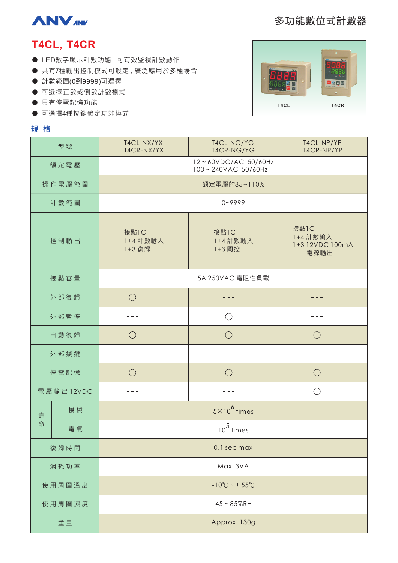

# 多功能數位式計數器

## **T4CL, T4CR**

- LED數字顯示計數功能,可有效監視計數動作
- 共有7種輸出控制模式可設定,廣泛應用於多種場合
- 計數範圍(0到9999)可選擇
- 可選擇正數或倒數計數模式
- 具有停電記憶功能
- 可選擇4種按鍵鎖定功能模式

## **規格**



| 型號        |    | T4CL-NX/YX<br>T4CR-NX/YX                  | T4CL-NG/YG<br>T4CR-NG/YG   | T4CL-NP/YP<br>T4CR-NP/YP                    |
|-----------|----|-------------------------------------------|----------------------------|---------------------------------------------|
| 額定電壓      |    | 12~60VDC/AC 50/60Hz<br>100~240VAC 50/60Hz |                            |                                             |
| 操作電壓範圍    |    | 額定電壓的85~110%                              |                            |                                             |
| 計數範圍      |    | $0 - 9999$                                |                            |                                             |
| 控制輸出      |    | 接點1C<br>1+4 計數輸入<br>1+3 復歸                | 接點1C<br>1+4 計數輸入<br>1+3 閘控 | 接點1C<br>1+4 計數輸入<br>1+3 12VDC 100mA<br>電源輸出 |
| 接點容量      |    | 5A 250VAC 電阻性負載                           |                            |                                             |
| 外部復歸      |    | $\bigcirc$                                |                            |                                             |
| 外部暫停      |    |                                           | ◯                          |                                             |
| 自動復歸      |    | $\bigcirc$                                | $\bigcirc$                 | $\bigcirc$                                  |
| 外部鎖鍵      |    |                                           |                            |                                             |
| 停電記憶      |    | $\bigcirc$                                | $\bigcirc$                 | $\bigcirc$                                  |
| 電壓輸出12VDC |    |                                           |                            | ∩                                           |
| 壽<br>命    | 機械 | $5 \times 10^6$ times                     |                            |                                             |
|           | 電氣 | $10^5$ times                              |                            |                                             |
| 復歸時間      |    | 0.1 sec max                               |                            |                                             |
| 消耗功率      |    | Max. 3VA                                  |                            |                                             |
| 使用周圍溫度    |    | $-10^{\circ}C - 55^{\circ}C$              |                            |                                             |
| 使用周圍濕度    |    | $45 - 85%$ RH                             |                            |                                             |
| 重量        |    | Approx. 130g                              |                            |                                             |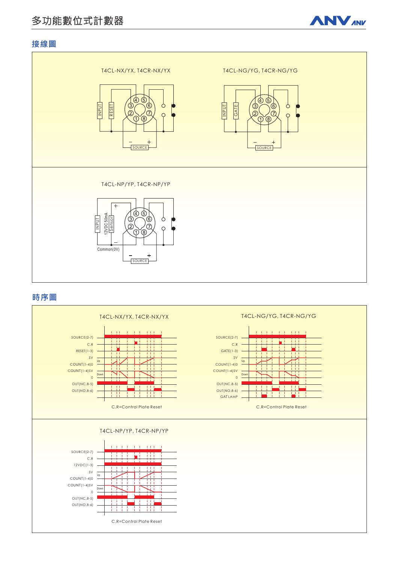# 多功能數位式計數器



## 接線圖



### 時序圖